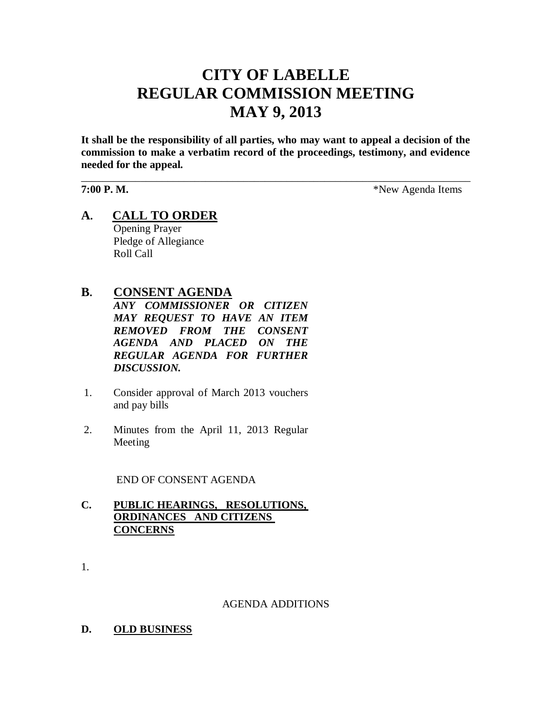# **CITY OF LABELLE REGULAR COMMISSION MEETING MAY 9, 2013**

**It shall be the responsibility of all parties, who may want to appeal a decision of the commission to make a verbatim record of the proceedings, testimony, and evidence needed for the appeal.**

\_\_\_\_\_\_\_\_\_\_\_\_\_\_\_\_\_\_\_\_\_\_\_\_\_\_\_\_\_\_\_\_\_\_\_\_\_\_\_\_\_\_\_\_\_\_\_\_\_\_\_\_\_\_\_\_\_\_\_\_\_\_\_\_\_\_\_\_\_\_\_\_

**7:00 P. M.** \*New Agenda Items

**A. CALL TO ORDER** Opening Prayer Pledge of Allegiance Roll Call

# **B. CONSENT AGENDA**

*ANY COMMISSIONER OR CITIZEN MAY REQUEST TO HAVE AN ITEM REMOVED FROM THE CONSENT AGENDA AND PLACED ON THE REGULAR AGENDA FOR FURTHER DISCUSSION.*

- 1. Consider approval of March 2013 vouchers and pay bills
- 2. Minutes from the April 11, 2013 Regular Meeting

END OF CONSENT AGENDA

# **C. PUBLIC HEARINGS, RESOLUTIONS, ORDINANCES AND CITIZENS CONCERNS**

1.

#### AGENDA ADDITIONS

**D. OLD BUSINESS**